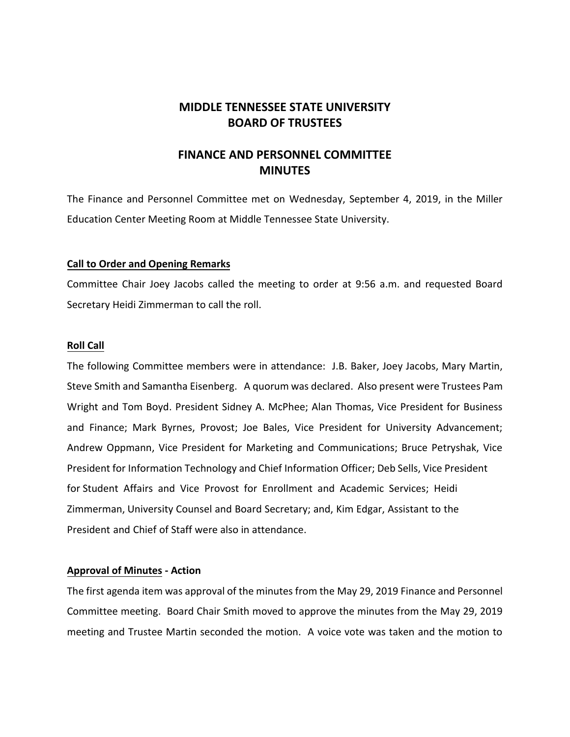# **MIDDLE TENNESSEE STATE UNIVERSITY BOARD OF TRUSTEES**

# **FINANCE AND PERSONNEL COMMITTEE MINUTES**

The Finance and Personnel Committee met on Wednesday, September 4, 2019, in the Miller Education Center Meeting Room at Middle Tennessee State University.

## **Call to Order and Opening Remarks**

Committee Chair Joey Jacobs called the meeting to order at 9:56 a.m. and requested Board Secretary Heidi Zimmerman to call the roll.

#### **Roll Call**

The following Committee members were in attendance: J.B. Baker, Joey Jacobs, Mary Martin, Steve Smith and Samantha Eisenberg. A quorum was declared. Also present were Trustees Pam Wright and Tom Boyd. President Sidney A. McPhee; Alan Thomas, Vice President for Business and Finance; Mark Byrnes, Provost; Joe Bales, Vice President for University Advancement; Andrew Oppmann, Vice President for Marketing and Communications; Bruce Petryshak, Vice President for Information Technology and Chief Information Officer; Deb Sells, Vice President for Student Affairs and Vice Provost for Enrollment and Academic Services; Heidi Zimmerman, University Counsel and Board Secretary; and, Kim Edgar, Assistant to the President and Chief of Staff were also in attendance.

#### **Approval of Minutes - Action**

The first agenda item was approval of the minutes from the May 29, 2019 Finance and Personnel Committee meeting. Board Chair Smith moved to approve the minutes from the May 29, 2019 meeting and Trustee Martin seconded the motion. A voice vote was taken and the motion to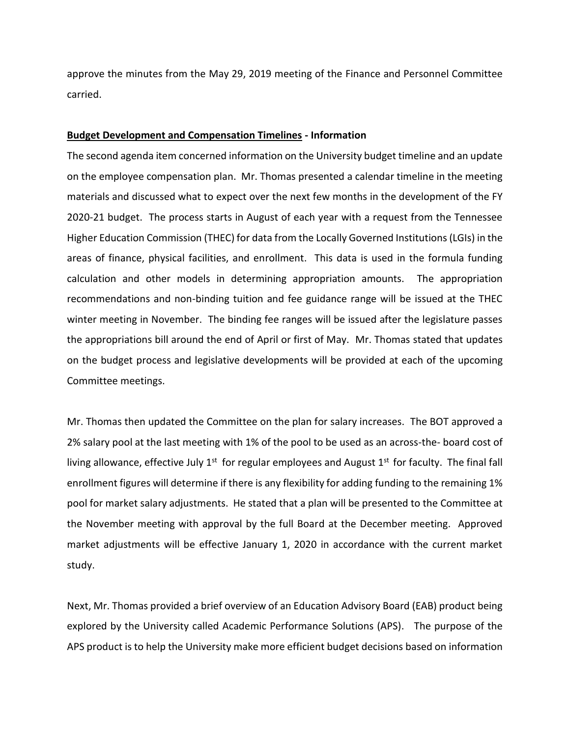approve the minutes from the May 29, 2019 meeting of the Finance and Personnel Committee carried.

#### **Budget Development and Compensation Timelines - Information**

The second agenda item concerned information on the University budget timeline and an update on the employee compensation plan. Mr. Thomas presented a calendar timeline in the meeting materials and discussed what to expect over the next few months in the development of the FY 2020-21 budget. The process starts in August of each year with a request from the Tennessee Higher Education Commission (THEC) for data from the Locally Governed Institutions (LGIs) in the areas of finance, physical facilities, and enrollment. This data is used in the formula funding calculation and other models in determining appropriation amounts. The appropriation recommendations and non-binding tuition and fee guidance range will be issued at the THEC winter meeting in November. The binding fee ranges will be issued after the legislature passes the appropriations bill around the end of April or first of May. Mr. Thomas stated that updates on the budget process and legislative developments will be provided at each of the upcoming Committee meetings.

Mr. Thomas then updated the Committee on the plan for salary increases. The BOT approved a 2% salary pool at the last meeting with 1% of the pool to be used as an across-the- board cost of living allowance, effective July  $1<sup>st</sup>$  for regular employees and August  $1<sup>st</sup>$  for faculty. The final fall enrollment figures will determine if there is any flexibility for adding funding to the remaining 1% pool for market salary adjustments. He stated that a plan will be presented to the Committee at the November meeting with approval by the full Board at the December meeting. Approved market adjustments will be effective January 1, 2020 in accordance with the current market study.

Next, Mr. Thomas provided a brief overview of an Education Advisory Board (EAB) product being explored by the University called Academic Performance Solutions (APS). The purpose of the APS product is to help the University make more efficient budget decisions based on information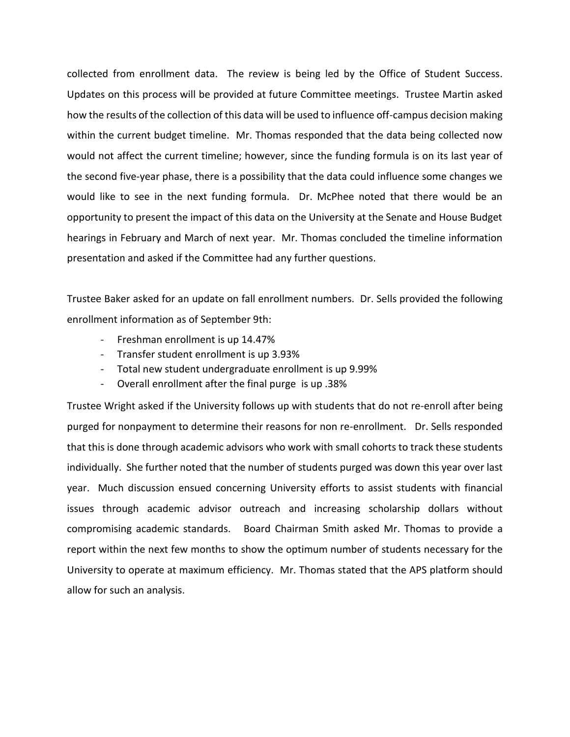collected from enrollment data. The review is being led by the Office of Student Success. Updates on this process will be provided at future Committee meetings. Trustee Martin asked how the results of the collection of this data will be used to influence off-campus decision making within the current budget timeline. Mr. Thomas responded that the data being collected now would not affect the current timeline; however, since the funding formula is on its last year of the second five-year phase, there is a possibility that the data could influence some changes we would like to see in the next funding formula. Dr. McPhee noted that there would be an opportunity to present the impact of this data on the University at the Senate and House Budget hearings in February and March of next year. Mr. Thomas concluded the timeline information presentation and asked if the Committee had any further questions.

Trustee Baker asked for an update on fall enrollment numbers. Dr. Sells provided the following enrollment information as of September 9th:

- Freshman enrollment is up 14.47%
- Transfer student enrollment is up 3.93%
- Total new student undergraduate enrollment is up 9.99%
- Overall enrollment after the final purge is up .38%

Trustee Wright asked if the University follows up with students that do not re-enroll after being purged for nonpayment to determine their reasons for non re-enrollment. Dr. Sells responded that this is done through academic advisors who work with small cohorts to track these students individually. She further noted that the number of students purged was down this year over last year. Much discussion ensued concerning University efforts to assist students with financial issues through academic advisor outreach and increasing scholarship dollars without compromising academic standards. Board Chairman Smith asked Mr. Thomas to provide a report within the next few months to show the optimum number of students necessary for the University to operate at maximum efficiency. Mr. Thomas stated that the APS platform should allow for such an analysis.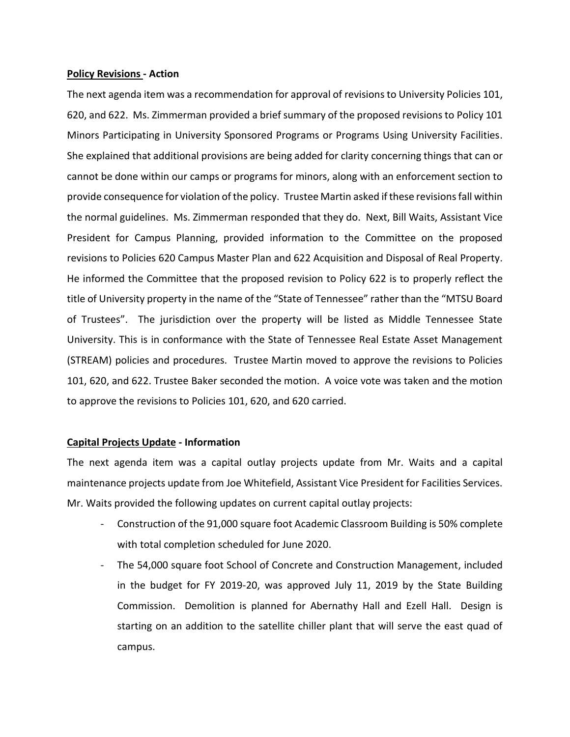#### **Policy Revisions - Action**

The next agenda item was a recommendation for approval of revisions to University Policies 101, 620, and 622. Ms. Zimmerman provided a brief summary of the proposed revisions to Policy 101 Minors Participating in University Sponsored Programs or Programs Using University Facilities. She explained that additional provisions are being added for clarity concerning things that can or cannot be done within our camps or programs for minors, along with an enforcement section to provide consequence for violation of the policy. Trustee Martin asked if these revisions fall within the normal guidelines. Ms. Zimmerman responded that they do. Next, Bill Waits, Assistant Vice President for Campus Planning, provided information to the Committee on the proposed revisions to Policies 620 Campus Master Plan and 622 Acquisition and Disposal of Real Property. He informed the Committee that the proposed revision to Policy 622 is to properly reflect the title of University property in the name of the "State of Tennessee" rather than the "MTSU Board of Trustees". The jurisdiction over the property will be listed as Middle Tennessee State University. This is in conformance with the State of Tennessee Real Estate Asset Management (STREAM) policies and procedures. Trustee Martin moved to approve the revisions to Policies 101, 620, and 622. Trustee Baker seconded the motion. A voice vote was taken and the motion to approve the revisions to Policies 101, 620, and 620 carried.

#### **Capital Projects Update - Information**

The next agenda item was a capital outlay projects update from Mr. Waits and a capital maintenance projects update from Joe Whitefield, Assistant Vice President for Facilities Services. Mr. Waits provided the following updates on current capital outlay projects:

- Construction of the 91,000 square foot Academic Classroom Building is 50% complete with total completion scheduled for June 2020.
- The 54,000 square foot School of Concrete and Construction Management, included in the budget for FY 2019-20, was approved July 11, 2019 by the State Building Commission. Demolition is planned for Abernathy Hall and Ezell Hall. Design is starting on an addition to the satellite chiller plant that will serve the east quad of campus.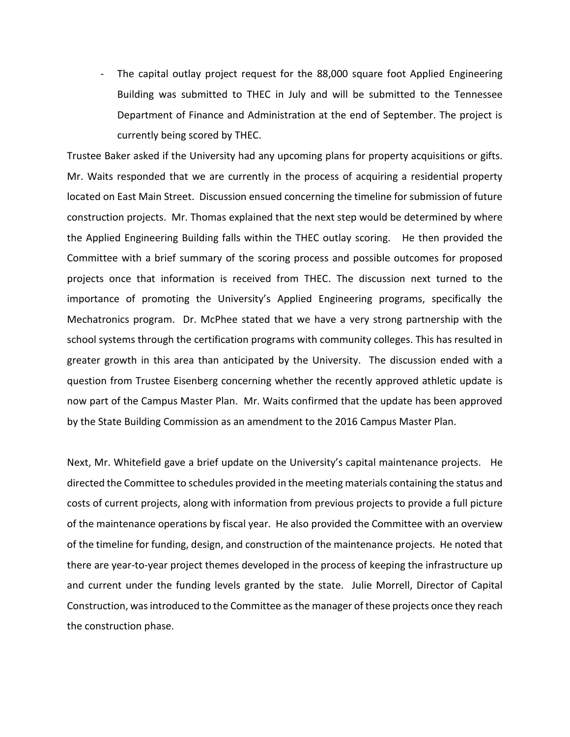- The capital outlay project request for the 88,000 square foot Applied Engineering Building was submitted to THEC in July and will be submitted to the Tennessee Department of Finance and Administration at the end of September. The project is currently being scored by THEC.

Trustee Baker asked if the University had any upcoming plans for property acquisitions or gifts. Mr. Waits responded that we are currently in the process of acquiring a residential property located on East Main Street. Discussion ensued concerning the timeline for submission of future construction projects. Mr. Thomas explained that the next step would be determined by where the Applied Engineering Building falls within the THEC outlay scoring. He then provided the Committee with a brief summary of the scoring process and possible outcomes for proposed projects once that information is received from THEC. The discussion next turned to the importance of promoting the University's Applied Engineering programs, specifically the Mechatronics program. Dr. McPhee stated that we have a very strong partnership with the school systems through the certification programs with community colleges. This has resulted in greater growth in this area than anticipated by the University. The discussion ended with a question from Trustee Eisenberg concerning whether the recently approved athletic update is now part of the Campus Master Plan. Mr. Waits confirmed that the update has been approved by the State Building Commission as an amendment to the 2016 Campus Master Plan.

Next, Mr. Whitefield gave a brief update on the University's capital maintenance projects. He directed the Committee to schedules provided in the meeting materials containing the status and costs of current projects, along with information from previous projects to provide a full picture of the maintenance operations by fiscal year. He also provided the Committee with an overview of the timeline for funding, design, and construction of the maintenance projects. He noted that there are year-to-year project themes developed in the process of keeping the infrastructure up and current under the funding levels granted by the state. Julie Morrell, Director of Capital Construction, was introduced to the Committee as the manager of these projects once they reach the construction phase.